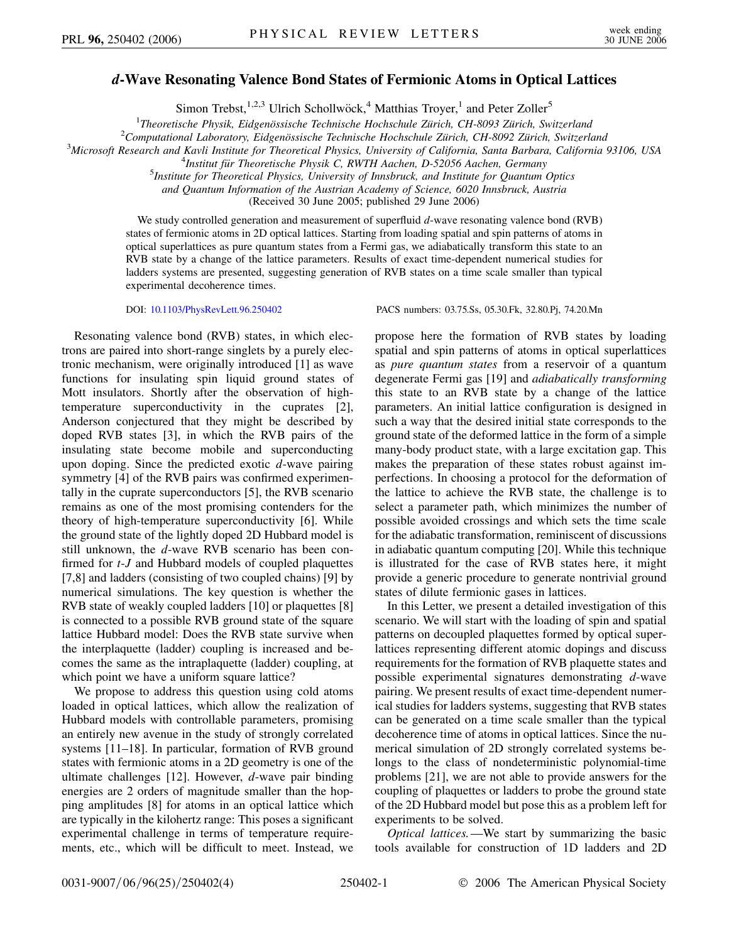## *d***-Wave Resonating Valence Bond States of Fermionic Atoms in Optical Lattices**

Simon Trebst,<sup>1,2,3</sup> Ulrich Schollwöck,<sup>4</sup> Matthias Troyer,<sup>1</sup> and Peter Zoller<sup>5</sup>

<sup>1</sup>Theoretische Physik, Eidgenössische Technische Hochschule Zürich, CH-8093 Zürich, Switzerland<br><sup>2</sup>Computational Laboratory, Eidgenössische Technische Hochschule Zürich, CH-8093 Zürich, Switzerla

<sup>2</sup> Computational Laboratory, Eidgenössische Technische Hochschule Zürich, CH-8092 Zürich, Switzerland

*Microsoft Research and Kavli Institute for Theoretical Physics, University of California, Santa Barbara, California 93106, USA* <sup>4</sup>

<sup>4</sup>Institut für Theoretische Physik C, RWTH Aachen, D-52056 Aachen, Germany

*Institute for Theoretical Physics, University of Innsbruck, and Institute for Quantum Optics*

*and Quantum Information of the Austrian Academy of Science, 6020 Innsbruck, Austria*

(Received 30 June 2005; published 29 June 2006)

We study controlled generation and measurement of superfluid *d*-wave resonating valence bond (RVB) states of fermionic atoms in 2D optical lattices. Starting from loading spatial and spin patterns of atoms in optical superlattices as pure quantum states from a Fermi gas, we adiabatically transform this state to an RVB state by a change of the lattice parameters. Results of exact time-dependent numerical studies for ladders systems are presented, suggesting generation of RVB states on a time scale smaller than typical experimental decoherence times.

DOI: [10.1103/PhysRevLett.96.250402](http://dx.doi.org/10.1103/PhysRevLett.96.250402) PACS numbers: 03.75.Ss, 05.30.Fk, 32.80.Pj, 74.20.Mn

Resonating valence bond (RVB) states, in which electrons are paired into short-range singlets by a purely electronic mechanism, were originally introduced [1] as wave functions for insulating spin liquid ground states of Mott insulators. Shortly after the observation of hightemperature superconductivity in the cuprates [2], Anderson conjectured that they might be described by doped RVB states [3], in which the RVB pairs of the insulating state become mobile and superconducting upon doping. Since the predicted exotic *d*-wave pairing symmetry [4] of the RVB pairs was confirmed experimentally in the cuprate superconductors [5], the RVB scenario remains as one of the most promising contenders for the theory of high-temperature superconductivity [6]. While the ground state of the lightly doped 2D Hubbard model is still unknown, the *d*-wave RVB scenario has been confirmed for *t*-*J* and Hubbard models of coupled plaquettes [7,8] and ladders (consisting of two coupled chains) [9] by numerical simulations. The key question is whether the RVB state of weakly coupled ladders [10] or plaquettes [8] is connected to a possible RVB ground state of the square lattice Hubbard model: Does the RVB state survive when the interplaquette (ladder) coupling is increased and becomes the same as the intraplaquette (ladder) coupling, at which point we have a uniform square lattice?

We propose to address this question using cold atoms loaded in optical lattices, which allow the realization of Hubbard models with controllable parameters, promising an entirely new avenue in the study of strongly correlated systems [11–18]. In particular, formation of RVB ground states with fermionic atoms in a 2D geometry is one of the ultimate challenges [12]. However, *d*-wave pair binding energies are 2 orders of magnitude smaller than the hopping amplitudes [8] for atoms in an optical lattice which are typically in the kilohertz range: This poses a significant experimental challenge in terms of temperature requirements, etc., which will be difficult to meet. Instead, we

propose here the formation of RVB states by loading spatial and spin patterns of atoms in optical superlattices as *pure quantum states* from a reservoir of a quantum degenerate Fermi gas [19] and *adiabatically transforming* this state to an RVB state by a change of the lattice parameters. An initial lattice configuration is designed in such a way that the desired initial state corresponds to the ground state of the deformed lattice in the form of a simple many-body product state, with a large excitation gap. This makes the preparation of these states robust against imperfections. In choosing a protocol for the deformation of the lattice to achieve the RVB state, the challenge is to select a parameter path, which minimizes the number of possible avoided crossings and which sets the time scale for the adiabatic transformation, reminiscent of discussions in adiabatic quantum computing [20]. While this technique is illustrated for the case of RVB states here, it might provide a generic procedure to generate nontrivial ground states of dilute fermionic gases in lattices.

In this Letter, we present a detailed investigation of this scenario. We will start with the loading of spin and spatial patterns on decoupled plaquettes formed by optical superlattices representing different atomic dopings and discuss requirements for the formation of RVB plaquette states and possible experimental signatures demonstrating *d*-wave pairing. We present results of exact time-dependent numerical studies for ladders systems, suggesting that RVB states can be generated on a time scale smaller than the typical decoherence time of atoms in optical lattices. Since the numerical simulation of 2D strongly correlated systems belongs to the class of nondeterministic polynomial-time problems [21], we are not able to provide answers for the coupling of plaquettes or ladders to probe the ground state of the 2D Hubbard model but pose this as a problem left for experiments to be solved.

*Optical lattices.*—We start by summarizing the basic tools available for construction of 1D ladders and 2D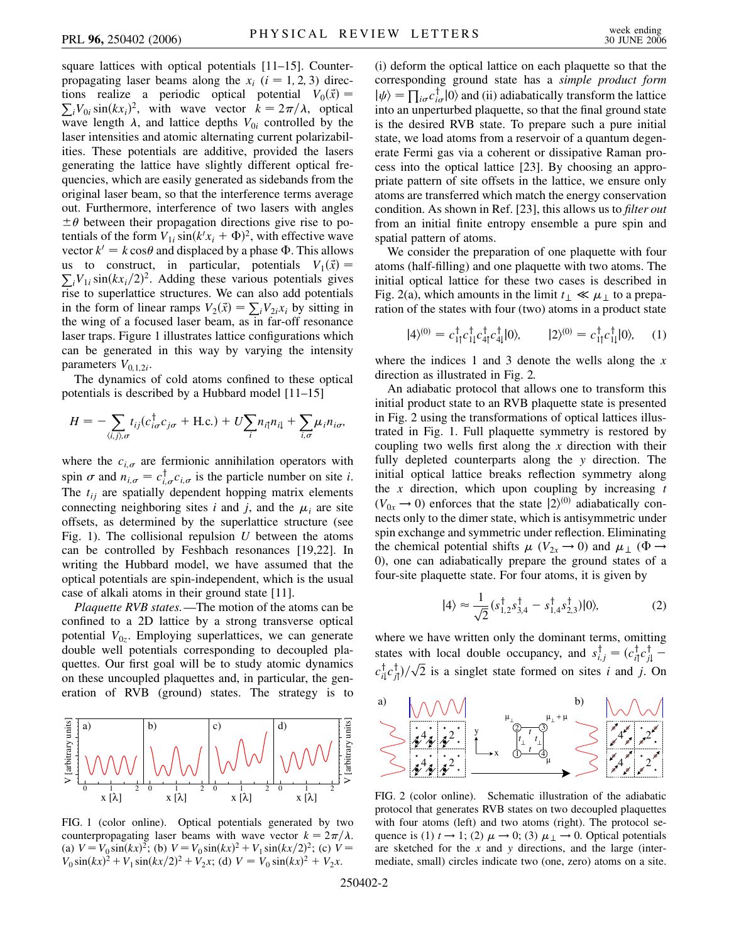square lattices with optical potentials [11–15]. Counterpropagating laser beams along the  $x_i$  ( $i = 1, 2, 3$ ) directions realize a periodic optical potential  $V_0(\vec{x}) =$  $\sum_i V_{0i} \sin(kx_i)^2$ , with wave vector  $k = 2\pi/\lambda$ , optical wave length  $\lambda$ , and lattice depths  $V_{0i}$  controlled by the laser intensities and atomic alternating current polarizabilities. These potentials are additive, provided the lasers generating the lattice have slightly different optical frequencies, which are easily generated as sidebands from the original laser beam, so that the interference terms average out. Furthermore, interference of two lasers with angles  $\pm \theta$  between their propagation directions give rise to potentials of the form  $V_{1i}$  sin( $k'x_i + \Phi$ )<sup>2</sup>, with effective wave vector  $k' = k \cos \theta$  and displaced by a phase  $\Phi$ . This allows us to construct, in particular, potentials  $V_1(\vec{x}) =$  $\sum_i V_{1i} \sin(kx_i/2)^2$ . Adding these various potentials gives rise to superlattice structures. We can also add potentials in the form of linear ramps  $V_2(\vec{x}) = \sum_i V_{2i}x_i$  by sitting in the wing of a focused laser beam, as in far-off resonance laser traps. Figure 1 illustrates lattice configurations which can be generated in this way by varying the intensity parameters  $V_{0,1,2i}$ .

The dynamics of cold atoms confined to these optical potentials is described by a Hubbard model [11–15]

$$
H = -\sum_{\langle i,j\rangle,\sigma} t_{ij} (c_{i\sigma}^{\dagger} c_{j\sigma} + \text{H.c.}) + U \sum_{i} n_{i\uparrow} n_{i\downarrow} + \sum_{i,\sigma} \mu_i n_{i\sigma},
$$

where the  $c_{i,\sigma}$  are fermionic annihilation operators with spin  $\sigma$  and  $n_{i,\sigma} = c_{i,\sigma}^{\dagger} c_{i,\sigma}$  is the particle number on site *i*. The  $t_{ij}$  are spatially dependent hopping matrix elements connecting neighboring sites *i* and *j*, and the  $\mu_i$  are site offsets, as determined by the superlattice structure (see Fig. 1). The collisional repulsion *U* between the atoms can be controlled by Feshbach resonances [19,22]. In writing the Hubbard model, we have assumed that the optical potentials are spin-independent, which is the usual case of alkali atoms in their ground state [11].

*Plaquette RVB states.*—The motion of the atoms can be confined to a 2D lattice by a strong transverse optical potential  $V_{0z}$ . Employing superlattices, we can generate double well potentials corresponding to decoupled plaquettes. Our first goal will be to study atomic dynamics on these uncoupled plaquettes and, in particular, the generation of RVB (ground) states. The strategy is to



FIG. 1 (color online). Optical potentials generated by two counterpropagating laser beams with wave vector  $k = 2\pi/\lambda$ . (a)  $V = V_0 \sin(kx)^2$ ; (b)  $V = V_0 \sin(kx)^2 + V_1 \sin(kx/2)^2$ ; (c)  $V =$  $V_0 \sin(kx)^2 + V_1 \sin(kx/2)^2 + V_2x$ ; (d)  $V = V_0 \sin(kx)^2 + V_2x$ .

(i) deform the optical lattice on each plaquette so that the corresponding ground state has a *simple product form*  $|\psi\rangle = \prod_{i\sigma} c_{i\sigma}^{\dagger} |0\rangle$  and (ii) adiabatically transform the lattice into an unperturbed plaquette, so that the final ground state is the desired RVB state. To prepare such a pure initial state, we load atoms from a reservoir of a quantum degenerate Fermi gas via a coherent or dissipative Raman process into the optical lattice [23]. By choosing an appropriate pattern of site offsets in the lattice, we ensure only atoms are transferred which match the energy conservation condition. As shown in Ref. [23], this allows us to *filter out* from an initial finite entropy ensemble a pure spin and spatial pattern of atoms.

We consider the preparation of one plaquette with four atoms (half-filling) and one plaquette with two atoms. The initial optical lattice for these two cases is described in Fig. 2(a), which amounts in the limit  $t_{\perp} \ll \mu_{\perp}$  to a preparation of the states with four (two) atoms in a product state

$$
|4\rangle^{(0)} = c_{1\uparrow}^{\dagger} c_{1\downarrow}^{\dagger} c_{4\uparrow}^{\dagger} c_{4\downarrow}^{\dagger} |0\rangle, \qquad |2\rangle^{(0)} = c_{1\uparrow}^{\dagger} c_{1\downarrow}^{\dagger} |0\rangle, \qquad (1)
$$

where the indices 1 and 3 denote the wells along the *x* direction as illustrated in Fig. 2.

An adiabatic protocol that allows one to transform this initial product state to an RVB plaquette state is presented in Fig. 2 using the transformations of optical lattices illustrated in Fig. 1. Full plaquette symmetry is restored by coupling two wells first along the *x* direction with their fully depleted counterparts along the *y* direction. The initial optical lattice breaks reflection symmetry along the *x* direction, which upon coupling by increasing *t*  $(V_{0x} \rightarrow 0)$  enforces that the state  $|2\rangle^{(0)}$  adiabatically connects only to the dimer state, which is antisymmetric under spin exchange and symmetric under reflection. Eliminating the chemical potential shifts  $\mu$  ( $V_{2x} \rightarrow 0$ ) and  $\mu_{\perp}$  ( $\Phi \rightarrow$ 0), one can adiabatically prepare the ground states of a four-site plaquette state. For four atoms, it is given by

$$
|4\rangle \approx \frac{1}{\sqrt{2}} (s_{1,2}^{\dagger} s_{3,4}^{\dagger} - s_{1,4}^{\dagger} s_{2,3}^{\dagger}) |0\rangle, \tag{2}
$$

where we have written only the dominant terms, omitting states with local double occupancy, and  $s_{i,j}^{\dagger} = (c_{i\uparrow}^{\dagger} c_{j\downarrow}^{\dagger}$  $c_{i\downarrow}^{\dagger}c_{j\uparrow}^{\dagger}$ )/ $\sqrt{2}$  is a singlet state formed on sites *i* and *j*. On



FIG. 2 (color online). Schematic illustration of the adiabatic protocol that generates RVB states on two decoupled plaquettes with four atoms (left) and two atoms (right). The protocol sequence is (1)  $t \rightarrow 1$ ; (2)  $\mu \rightarrow 0$ ; (3)  $\mu_{\perp} \rightarrow 0$ . Optical potentials are sketched for the *x* and *y* directions, and the large (intermediate, small) circles indicate two (one, zero) atoms on a site.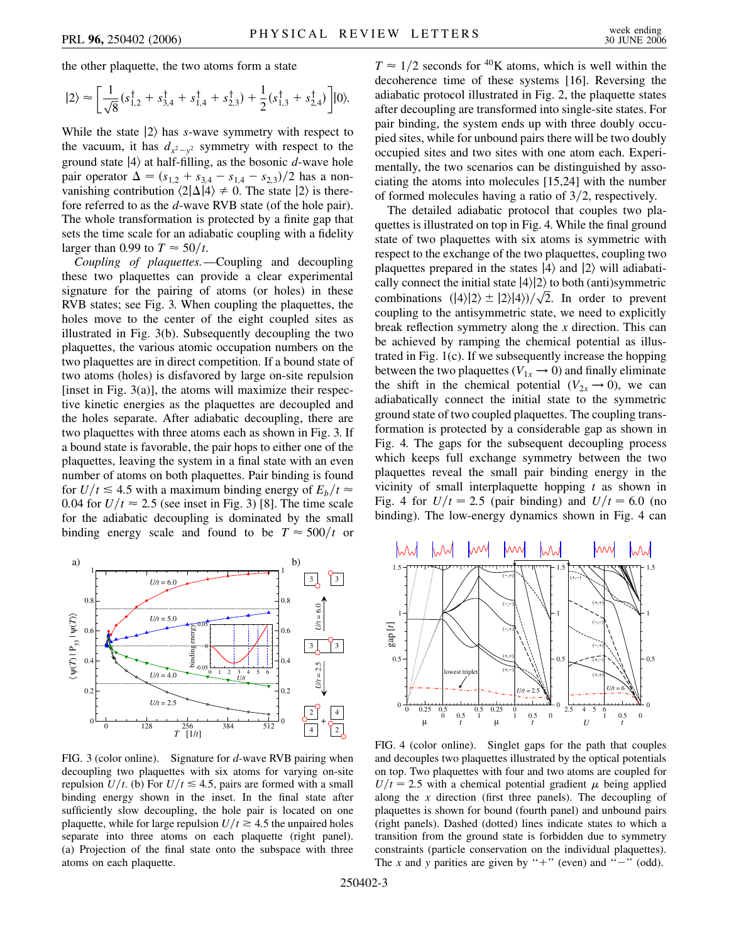the other plaquette, the two atoms form a state

$$
|2\rangle \approx \left[\frac{1}{\sqrt{8}}(s_{1,2}^{\dagger} + s_{3,4}^{\dagger} + s_{1,4}^{\dagger} + s_{2,3}^{\dagger}) + \frac{1}{2}(s_{1,3}^{\dagger} + s_{2,4}^{\dagger})\right]|0\rangle.
$$

While the state  $|2\rangle$  has *s*-wave symmetry with respect to the vacuum, it has  $d_{x^2-y^2}$  symmetry with respect to the ground state  $|4\rangle$  at half-filling, as the bosonic *d*-wave hole pair operator  $\Delta = (s_{1,2} + s_{3,4} - s_{1,4} - s_{2,3})/2$  has a nonvanishing contribution  $\langle 2|\Delta|4 \rangle \neq 0$ . The state  $|2\rangle$  is therefore referred to as the *d*-wave RVB state (of the hole pair). The whole transformation is protected by a finite gap that sets the time scale for an adiabatic coupling with a fidelity larger than 0.99 to  $T \approx 50/t$ .

*Coupling of plaquettes.*—Coupling and decoupling these two plaquettes can provide a clear experimental signature for the pairing of atoms (or holes) in these RVB states; see Fig. 3. When coupling the plaquettes, the holes move to the center of the eight coupled sites as illustrated in Fig. 3(b). Subsequently decoupling the two plaquettes, the various atomic occupation numbers on the two plaquettes are in direct competition. If a bound state of two atoms (holes) is disfavored by large on-site repulsion [inset in Fig.  $3(a)$ ], the atoms will maximize their respective kinetic energies as the plaquettes are decoupled and the holes separate. After adiabatic decoupling, there are two plaquettes with three atoms each as shown in Fig. 3. If a bound state is favorable, the pair hops to either one of the plaquettes, leaving the system in a final state with an even number of atoms on both plaquettes. Pair binding is found for  $U/t \le 4.5$  with a maximum binding energy of  $E_b/t \approx$ 0.04 for  $U/t \approx 2.5$  (see inset in Fig. 3) [8]. The time scale for the adiabatic decoupling is dominated by the small binding energy scale and found to be  $T \approx 500/t$  or



FIG. 3 (color online). Signature for *d*-wave RVB pairing when decoupling two plaquettes with six atoms for varying on-site repulsion *U/t*. (b) For  $U/t \le 4.5$ , pairs are formed with a small binding energy shown in the inset. In the final state after sufficiently slow decoupling, the hole pair is located on one plaquette, while for large repulsion  $U/t \ge 4.5$  the unpaired holes separate into three atoms on each plaquette (right panel). (a) Projection of the final state onto the subspace with three atoms on each plaquette.

 $T \approx 1/2$  seconds for <sup>40</sup>K atoms, which is well within the decoherence time of these systems [16]. Reversing the adiabatic protocol illustrated in Fig. 2, the plaquette states after decoupling are transformed into single-site states. For pair binding, the system ends up with three doubly occupied sites, while for unbound pairs there will be two doubly occupied sites and two sites with one atom each. Experimentally, the two scenarios can be distinguished by associating the atoms into molecules [15,24] with the number of formed molecules having a ratio of 3/2, respectively.

The detailed adiabatic protocol that couples two plaquettes is illustrated on top in Fig. 4. While the final ground state of two plaquettes with six atoms is symmetric with respect to the exchange of the two plaquettes, coupling two plaquettes prepared in the states  $|4\rangle$  and  $|2\rangle$  will adiabatically connect the initial state  $|4\rangle|2\rangle$  to both (anti)symmetric combinations  $(|4\rangle|2\rangle \pm |2\rangle|4\rangle/\sqrt{2}$ . In order to prevent coupling to the antisymmetric state, we need to explicitly break reflection symmetry along the *x* direction. This can be achieved by ramping the chemical potential as illustrated in Fig. 1(c). If we subsequently increase the hopping between the two plaquettes ( $V_{1x} \rightarrow 0$ ) and finally eliminate the shift in the chemical potential  $(V_{2x} \rightarrow 0)$ , we can adiabatically connect the initial state to the symmetric ground state of two coupled plaquettes. The coupling transformation is protected by a considerable gap as shown in Fig. 4. The gaps for the subsequent decoupling process which keeps full exchange symmetry between the two plaquettes reveal the small pair binding energy in the vicinity of small interplaquette hopping *t* as shown in Fig. 4 for  $U/t = 2.5$  (pair binding) and  $U/t = 6.0$  (no binding). The low-energy dynamics shown in Fig. 4 can



FIG. 4 (color online). Singlet gaps for the path that couples and decouples two plaquettes illustrated by the optical potentials on top. Two plaquettes with four and two atoms are coupled for  $U/t = 2.5$  with a chemical potential gradient  $\mu$  being applied along the *x* direction (first three panels). The decoupling of plaquettes is shown for bound (fourth panel) and unbound pairs (right panels). Dashed (dotted) lines indicate states to which a transition from the ground state is forbidden due to symmetry constraints (particle conservation on the individual plaquettes). The *x* and *y* parities are given by "+" (even) and " $-$ " (odd).